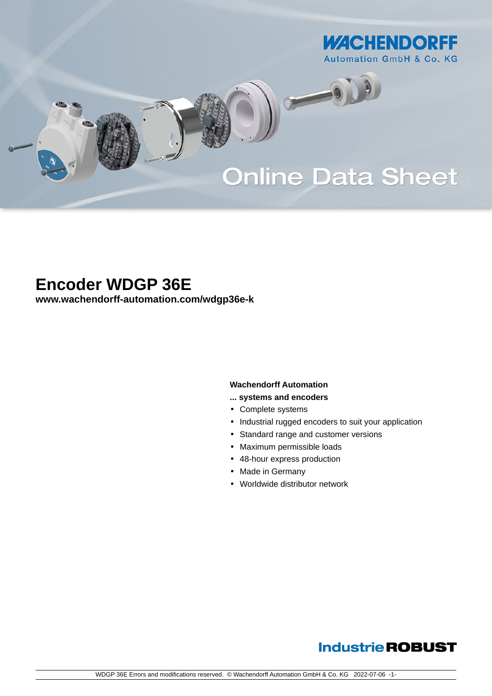

# **Online Data Sheet**

O

# **Encoder WDGP 36E**

**[www.wachendorff-automation.com/wdgp36e-k](https://www.wachendorff-automation.com/wdgp36e-k)**

### **Wachendorff Automation**

- **... systems and encoders**
- Complete systems
- Industrial rugged encoders to suit your application
- Standard range and customer versions
- Maximum permissible loads
- 48-hour express production
- Made in Germany
- Worldwide distributor network

## **Industrie ROBUST**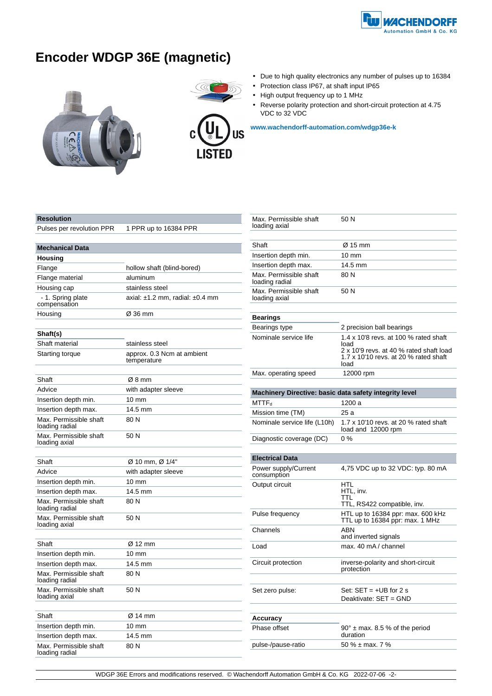

# **Encoder WDGP 36E (magnetic)**





- Due to high quality electronics any number of pulses up to 16384
- Protection class IP67, at shaft input IP65
- High output frequency up to 1 MHz
- • Reverse polarity protection and short-circuit protection at 4.75 VDC to 32 VDC

**[www.wachendorff-automation.com/wdgp36e-k](https://www.wachendorff-automation.com/wdgp36e-k)**

### **Resolution**

Pulses per revolution PPR 1 PPR up to 16384 PPR

| <b>Mechanical Data</b>                   |                                           |  |
|------------------------------------------|-------------------------------------------|--|
| Housing                                  |                                           |  |
| Flange                                   | hollow shaft (blind-bored)                |  |
| Flange material                          | aluminum                                  |  |
| Housing cap                              | stainless steel                           |  |
| - 1. Spring plate<br>compensation        | axial: $\pm 1.2$ mm, radial: $\pm 0.4$ mm |  |
| Housing                                  | Ø 36 mm                                   |  |
| Shaft(s)                                 |                                           |  |
| Shaft material                           | stainless steel                           |  |
| Starting torque                          | approx. 0.3 Ncm at ambient<br>temperature |  |
| Shaft                                    | Ø8 mm                                     |  |
| Advice                                   | with adapter sleeve                       |  |
| Insertion depth min.                     | $10 \text{ mm}$                           |  |
| Insertion depth max.                     | 14.5 mm                                   |  |
| Max. Permissible shaft<br>loading radial | 80 N                                      |  |
| Max. Permissible shaft<br>loading axial  | 50 N                                      |  |
| Shaft                                    | Ø 10 mm, Ø 1/4"                           |  |
| Advice                                   | with adapter sleeve                       |  |
| Insertion depth min.                     | $10 \text{ mm}$                           |  |
| Insertion depth max.                     | 14.5 mm                                   |  |
| Max. Permissible shaft<br>loading radial | 80 N                                      |  |
| Max. Permissible shaft<br>loading axial  | 50 N                                      |  |
| Shaft                                    | Ø 12 mm                                   |  |
| Insertion depth min.                     | 10 mm                                     |  |
| Insertion depth max.                     | 14.5 mm                                   |  |
| Max. Permissible shaft<br>loading radial | 80N                                       |  |
| Max. Permissible shaft<br>loading axial  | 50 N                                      |  |
| Shaft                                    | Ø 14 mm                                   |  |
| Insertion depth min.                     | $10 \text{ mm}$                           |  |
| Insertion depth max.                     | 14.5 mm                                   |  |
| Max. Permissible shaft<br>loading radial | 80 N                                      |  |

| Max. Permissible shaft<br>loading axial                | 50 N                                                                                     |
|--------------------------------------------------------|------------------------------------------------------------------------------------------|
|                                                        |                                                                                          |
| Shaft                                                  | Ø 15 mm                                                                                  |
| Insertion depth min.                                   | 10 mm                                                                                    |
| Insertion depth max.                                   | 14.5 mm                                                                                  |
| Max. Permissible shaft<br>loading radial               | 80 N                                                                                     |
| Max. Permissible shaft<br>loading axial                | 50 N                                                                                     |
|                                                        |                                                                                          |
| <b>Bearings</b>                                        |                                                                                          |
| Bearings type                                          | 2 precision ball bearings                                                                |
| Nominale service life                                  | 1.4 x 10'8 revs. at 100 % rated shaft<br>load                                            |
|                                                        | 2 x 10'9 revs. at 40 % rated shaft load<br>1.7 x 10'10 revs. at 20 % rated shaft<br>load |
| Max. operating speed                                   | 12000 rpm                                                                                |
|                                                        |                                                                                          |
| Machinery Directive: basic data safety integrity level |                                                                                          |
| <b>MTTF</b> <sub>d</sub>                               | 1200 a                                                                                   |
| Mission time (TM)                                      | 25 a                                                                                     |
| Nominale service life (L10h)                           | 1.7 x 10'10 revs. at 20 % rated shaft<br>load and 12000 rpm                              |
| Diagnostic coverage (DC)                               | $0\%$                                                                                    |
|                                                        |                                                                                          |
| <b>Electrical Data</b>                                 |                                                                                          |
| Power supply/Current<br>consumption                    | 4,75 VDC up to 32 VDC: typ. 80 mA                                                        |
| Output circuit                                         | HTL<br>HTL, inv.                                                                         |
|                                                        | TTL<br>TTL, RS422 compatible, inv.                                                       |
| Pulse frequency                                        | HTL up to 16384 ppr: max. 600 kHz<br>TTL up to 16384 ppr: max. 1 MHz                     |
| Channels                                               | ABN<br>and inverted signals                                                              |
| Load                                                   | max. 40 mA / channel                                                                     |
| Circuit protection                                     | inverse-polarity and short-circuit<br>protection                                         |
|                                                        |                                                                                          |
| Set zero pulse:                                        | Set: $SET = +UB$ for 2 s<br>Deaktivate: SET = GND                                        |
|                                                        |                                                                                          |
| Accuracy                                               |                                                                                          |
| Phase offset                                           | $90^\circ$ ± max. 8.5 % of the period<br>duration                                        |
| pulse-/pause-ratio                                     | 50 % ± max. 7 %                                                                          |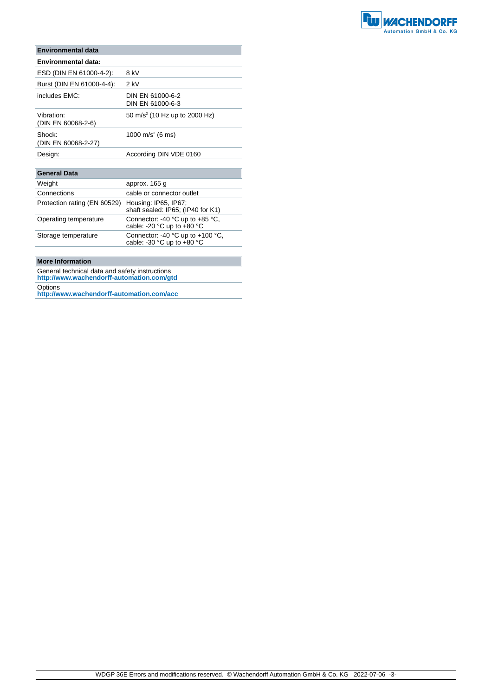

| Environmental data               |                                           |
|----------------------------------|-------------------------------------------|
| Environmental data:              |                                           |
| ESD (DIN EN 61000-4-2):          | 8 kV                                      |
| Burst (DIN EN 61000-4-4):        | 2 kV                                      |
| includes FMC:                    | DIN EN 61000-6-2<br>DIN EN 61000-6-3      |
| Vibration:<br>(DIN EN 60068-2-6) | 50 m/s <sup>2</sup> (10 Hz up to 2000 Hz) |
| Shock:<br>(DIN EN 60068-2-27)    | 1000 m/s <sup>2</sup> (6 ms)              |
| Design:                          | According DIN VDE 0160                    |

| <b>General Data</b>          |                                                                |
|------------------------------|----------------------------------------------------------------|
| Weight                       | approx. 165 g                                                  |
| Connections                  | cable or connector outlet                                      |
| Protection rating (EN 60529) | Housing: IP65, IP67;<br>shaft sealed: IP65; (IP40 for K1)      |
| Operating temperature        | Connector: -40 °C up to +85 °C,<br>cable: -20 °C up to +80 °C  |
| Storage temperature          | Connector: -40 °C up to +100 °C,<br>cable: -30 °C up to +80 °C |
|                              |                                                                |

### **More Information**

General technical data and safety instructions **http://www.wachendorff-automation.com/gtd**

Options

**http://www.wachendorff-automation.com/acc**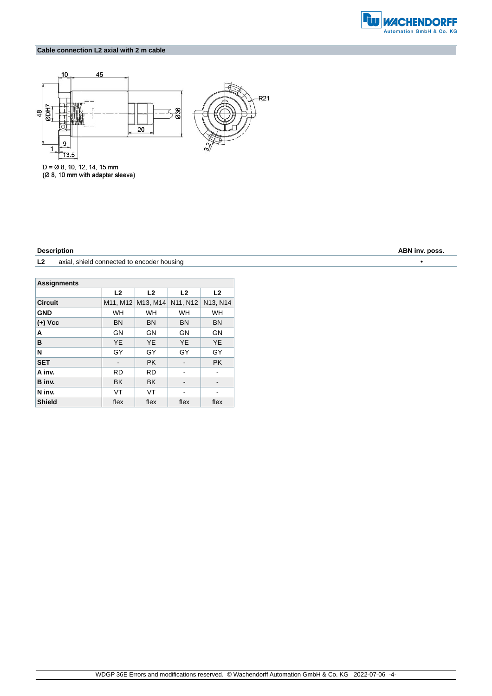

### **Cable connection L2 axial with 2 m cable**



 $D = \emptyset$  8, 10, 12, 14, 15 mm<br>( $\emptyset$  8, 10 mm with adapter sleeve)

**L2** axial, shield connected to encoder housing •

| <b>Assignments</b> |                |                |                |           |  |
|--------------------|----------------|----------------|----------------|-----------|--|
|                    | L <sub>2</sub> | L <sub>2</sub> | L <sub>2</sub> | L2        |  |
| <b>Circuit</b>     | M11, M12       | M13, M14       | N11, N12       | N13, N14  |  |
| <b>GND</b>         | <b>WH</b>      | <b>WH</b>      | <b>WH</b>      | <b>WH</b> |  |
| $(+)$ Vcc          | <b>BN</b>      | <b>BN</b>      | <b>BN</b>      | <b>BN</b> |  |
| A                  | GN             | GN             | GN             | GN        |  |
| в                  | <b>YE</b>      | <b>YE</b>      | <b>YE</b>      | <b>YE</b> |  |
| N                  | GY             | GY             | GY             | GY        |  |
| <b>SET</b>         |                | <b>PK</b>      |                | <b>PK</b> |  |
| A inv.             | <b>RD</b>      | <b>RD</b>      |                |           |  |
| B inv.             | <b>BK</b>      | <b>BK</b>      |                |           |  |
| N inv.             | <b>VT</b>      | VT             |                |           |  |
| <b>Shield</b>      | flex           | flex           | flex           | flex      |  |

**Description ABN inv. poss.**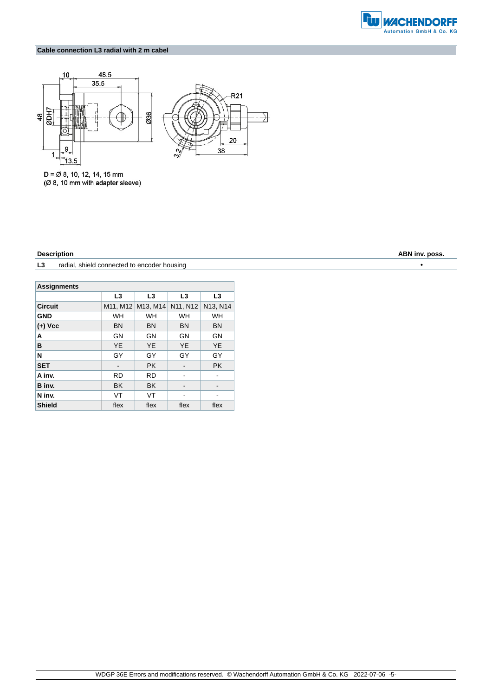

### **Cable connection L3 radial with 2 m cabel**



 $D = \emptyset$  8, 10, 12, 14, 15 mm (Ø 8, 10 mm with adapter sleeve)

**L3** radial, shield connected to encoder housing •

| <b>Assignments</b> |           |                |                |                |  |
|--------------------|-----------|----------------|----------------|----------------|--|
|                    | L3        | L <sub>3</sub> | L <sub>3</sub> | L <sub>3</sub> |  |
| <b>Circuit</b>     | M11, M12  | M13. M14       | N11, N12       | N13, N14       |  |
| <b>GND</b>         | <b>WH</b> | <b>WH</b>      | <b>WH</b>      | WH             |  |
| $(+)$ Vcc          | <b>BN</b> | <b>BN</b>      | <b>BN</b>      | <b>BN</b>      |  |
| A                  | GN        | GN             | GN             | GN             |  |
| в                  | <b>YE</b> | YE.            | <b>YE</b>      | <b>YE</b>      |  |
| N                  | GY        | GY             | GY             | GY             |  |
| <b>SET</b>         |           | <b>PK</b>      |                | <b>PK</b>      |  |
| A inv.             | <b>RD</b> | <b>RD</b>      |                |                |  |
| B inv.             | <b>BK</b> | <b>BK</b>      |                |                |  |
| N inv.             | VT        | VT             |                |                |  |
| <b>Shield</b>      | flex      | flex           | flex           | flex           |  |

**Description ABN inv. poss.**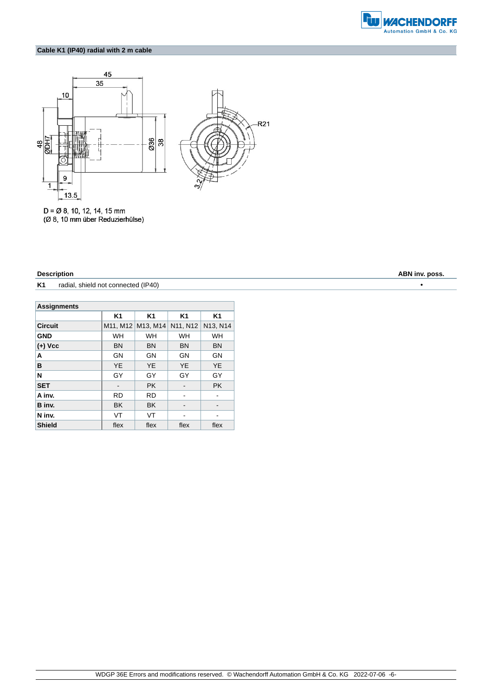

### **Cable K1 (IP40) radial with 2 m cable**



 $D = \emptyset$  8, 10, 12, 14, 15 mm (Ø 8, 10 mm über Reduzierhülse)

### **Description ABN inv. poss.**

**K1** radial, shield not connected (IP40) **•** 

| <b>Assignments</b> |           |                   |                                   |                |
|--------------------|-----------|-------------------|-----------------------------------|----------------|
|                    | K1        | K <sub>1</sub>    | K1                                | K <sub>1</sub> |
| <b>Circuit</b>     |           | M11, M12 M13, M14 | N <sub>11</sub> , N <sub>12</sub> | N13, N14       |
| <b>GND</b>         | WH        | WH                | WH                                | WH             |
| $(+)$ Vcc          | <b>BN</b> | <b>BN</b>         | <b>BN</b>                         | <b>BN</b>      |
| A                  | GN        | GN                | GN                                | GN             |
| в                  | <b>YE</b> | <b>YE</b>         | <b>YE</b>                         | <b>YE</b>      |
| N                  | GY        | GY                | GY                                | GY             |
| <b>SET</b>         |           | <b>PK</b>         |                                   | <b>PK</b>      |
| A inv.             | <b>RD</b> | <b>RD</b>         |                                   |                |
| B inv.             | <b>BK</b> | <b>BK</b>         |                                   |                |
| N inv.             | <b>VT</b> | VT                |                                   |                |
| <b>Shield</b>      | flex      | flex              | flex                              | flex           |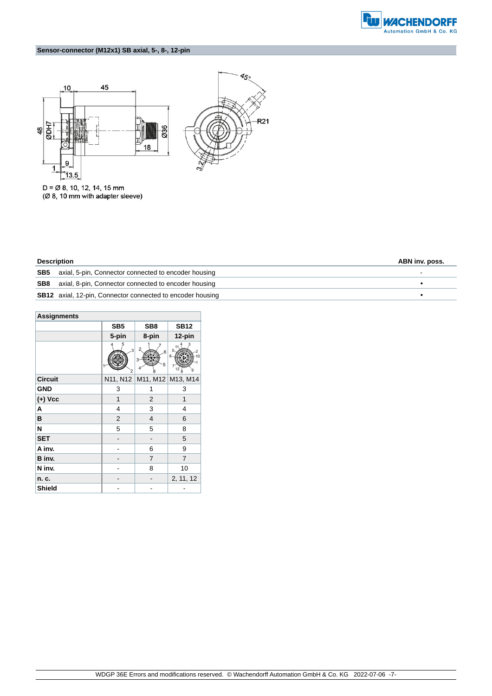

### **Sensor-connector (M12x1) SB axial, 5-, 8-, 12-pin**





 $D = \emptyset$  8, 10, 12, 14, 15 mm<br>( $\emptyset$  8, 10 mm with adapter sleeve)

| <b>Description</b> |                                                                   | ABN inv. poss. |
|--------------------|-------------------------------------------------------------------|----------------|
|                    | <b>SB5</b> axial, 5-pin, Connector connected to encoder housing   |                |
|                    | <b>SB8</b> axial, 8-pin, Connector connected to encoder housing   |                |
|                    | <b>SB12</b> axial, 12-pin, Connector connected to encoder housing |                |

| <b>Assignments</b> |                              |                 |                   |  |  |
|--------------------|------------------------------|-----------------|-------------------|--|--|
|                    | SB <sub>5</sub>              | SB <sub>8</sub> | <b>SB12</b>       |  |  |
|                    | 5-pin                        | 8-pin           | 12-pin            |  |  |
|                    | 3<br>$\overline{\mathbf{c}}$ | 6<br>3<br>5     | 5                 |  |  |
| <b>Circuit</b>     | N11, N12                     |                 | M11, M12 M13, M14 |  |  |
| <b>GND</b>         | 3                            | 1               | 3                 |  |  |
| $(+)$ Vcc          | 1                            | 2               | 1                 |  |  |
| A                  | 4                            | 3               | 4                 |  |  |
| в                  | $\overline{2}$               | 4               | 6                 |  |  |
| N                  | 5                            | 5               | 8                 |  |  |
| <b>SET</b>         |                              |                 | 5                 |  |  |
| A inv.             |                              | 6               | 9                 |  |  |
| B inv.             |                              | 7               | $\overline{7}$    |  |  |
| N inv.             |                              | 8               | 10                |  |  |
| n. c.              |                              |                 | 2, 11, 12         |  |  |
| Shield             |                              |                 |                   |  |  |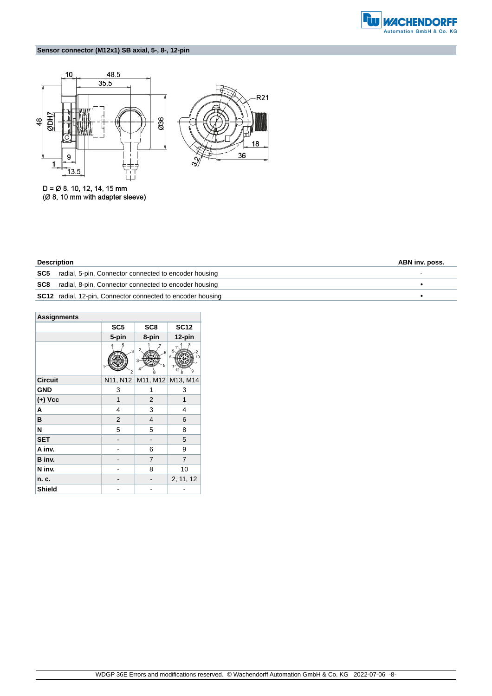

### **Sensor connector (M12x1) SB axial, 5-, 8-, 12-pin**



 $D = \emptyset$  8, 10, 12, 14, 15 mm<br>( $\emptyset$  8, 10 mm with adapter sleeve)

| <b>Description</b> |
|--------------------|
|--------------------|

| <b>Description</b>                                                 |  |
|--------------------------------------------------------------------|--|
| <b>SC5</b> radial, 5-pin, Connector connected to encoder housing   |  |
| <b>SC8</b> radial, 8-pin, Connector connected to encoder housing   |  |
| <b>SC12</b> radial, 12-pin, Connector connected to encoder housing |  |

| <b>Assignments</b> |                                   |                 |                   |  |  |
|--------------------|-----------------------------------|-----------------|-------------------|--|--|
|                    | SC <sub>5</sub>                   | SC <sub>8</sub> | <b>SC12</b>       |  |  |
|                    | 5-pin                             | 8-pin           | 12-pin            |  |  |
|                    | 5<br>3<br>$\overline{\mathbf{c}}$ | 6<br>3<br>5     |                   |  |  |
| <b>Circuit</b>     | N11, N12                          |                 | M11, M12 M13, M14 |  |  |
| <b>GND</b>         | 3                                 | 1               | 3                 |  |  |
| $(+)$ Vcc          | 1                                 | 2               | 1                 |  |  |
| Α                  | 4                                 | 3               | 4                 |  |  |
| в                  | $\overline{2}$                    | 4               | 6                 |  |  |
| N                  | 5                                 | 5               | 8                 |  |  |
| <b>SET</b>         |                                   |                 | 5                 |  |  |
| A inv.             |                                   | 6               | 9                 |  |  |
| B inv.             |                                   | $\overline{7}$  | $\overline{7}$    |  |  |
| N inv.             |                                   | 8               | 10                |  |  |
| n. c.              |                                   |                 | 2, 11, 12         |  |  |
| <b>Shield</b>      |                                   |                 |                   |  |  |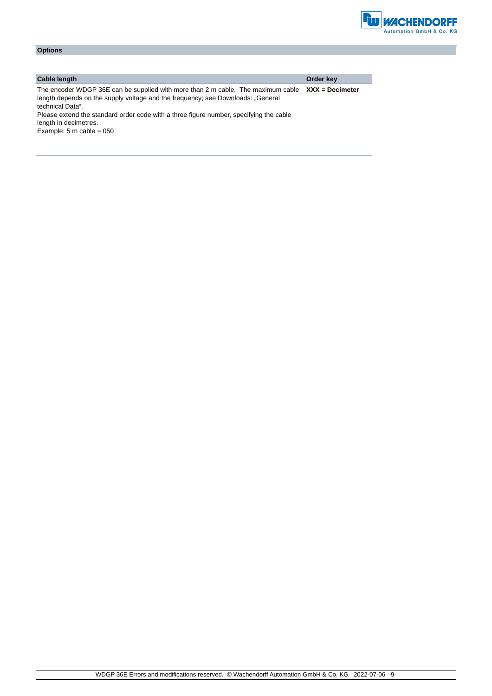

| <b>Options</b>                                                                                                                                                                                                                                                                    |                   |
|-----------------------------------------------------------------------------------------------------------------------------------------------------------------------------------------------------------------------------------------------------------------------------------|-------------------|
|                                                                                                                                                                                                                                                                                   |                   |
|                                                                                                                                                                                                                                                                                   |                   |
| <b>Cable length</b>                                                                                                                                                                                                                                                               | Order key         |
| The encoder WDGP 36E can be supplied with more than 2 m cable. The maximum cable<br>length depends on the supply voltage and the frequency; see Downloads: "General<br>technical Data".<br>Please extend the standard order code with a three figure number, specifying the cable | $XXX =$ Decimeter |

length in decimetres. Example:  $5 \text{ m}$  cable = 050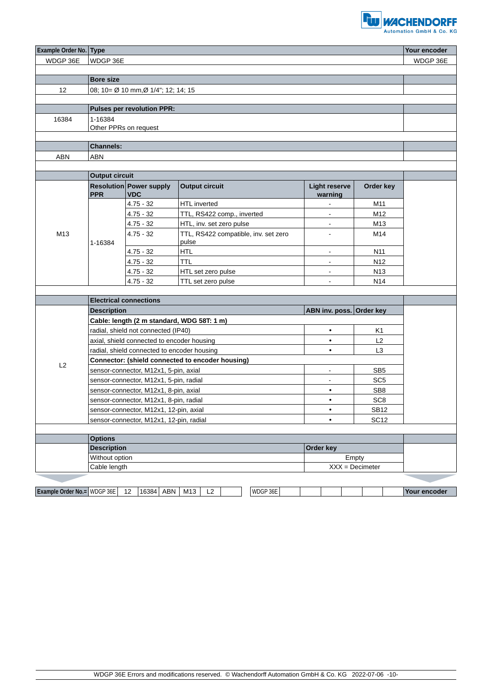

| <b>Example Order No. Type</b> |                                                                            |                                    |  |                            |    |                          |  |                                      |                |                      |                          | Your encoder    |                   |           |              |
|-------------------------------|----------------------------------------------------------------------------|------------------------------------|--|----------------------------|----|--------------------------|--|--------------------------------------|----------------|----------------------|--------------------------|-----------------|-------------------|-----------|--------------|
| WDGP 36E                      | WDGP 36E                                                                   |                                    |  |                            |    |                          |  |                                      |                |                      |                          |                 |                   |           | WDGP 36E     |
|                               |                                                                            |                                    |  |                            |    |                          |  |                                      |                |                      |                          |                 |                   |           |              |
|                               | <b>Bore size</b>                                                           |                                    |  |                            |    |                          |  |                                      |                |                      |                          |                 |                   |           |              |
| $12 \overline{ }$             |                                                                            | 08; 10= Ø 10 mm,Ø 1/4"; 12; 14; 15 |  |                            |    |                          |  |                                      |                |                      |                          |                 |                   |           |              |
|                               |                                                                            |                                    |  |                            |    |                          |  |                                      |                |                      |                          |                 |                   |           |              |
|                               | <b>Pulses per revolution PPR:</b>                                          |                                    |  |                            |    |                          |  |                                      |                |                      |                          |                 |                   |           |              |
| 16384                         | 1-16384                                                                    |                                    |  |                            |    |                          |  |                                      |                |                      |                          |                 |                   |           |              |
|                               | Other PPRs on request                                                      |                                    |  |                            |    |                          |  |                                      |                |                      |                          |                 |                   |           |              |
|                               |                                                                            |                                    |  |                            |    |                          |  |                                      |                |                      |                          |                 |                   |           |              |
|                               | <b>Channels:</b>                                                           |                                    |  |                            |    |                          |  |                                      |                |                      |                          |                 |                   |           |              |
| <b>ABN</b>                    | <b>ABN</b>                                                                 |                                    |  |                            |    |                          |  |                                      |                |                      |                          |                 |                   |           |              |
|                               | <b>Output circuit</b>                                                      |                                    |  |                            |    |                          |  |                                      |                |                      |                          |                 |                   |           |              |
|                               | <b>Resolution Power supply</b><br><b>Output circuit</b>                    |                                    |  |                            |    |                          |  |                                      |                | <b>Light reserve</b> |                          |                 |                   | Order key |              |
|                               | <b>PPR</b>                                                                 | <b>VDC</b>                         |  |                            |    |                          |  |                                      |                |                      | warning                  |                 |                   |           |              |
|                               |                                                                            | $4.75 - 32$                        |  | HTL inverted               |    |                          |  |                                      |                |                      |                          |                 | M11               |           |              |
|                               |                                                                            | $4.75 - 32$                        |  | TTL, RS422 comp., inverted |    |                          |  |                                      |                |                      | $\overline{\phantom{a}}$ | M12             |                   |           |              |
|                               |                                                                            | $4.75 - 32$                        |  |                            |    | HTL, inv. set zero pulse |  |                                      |                |                      | $\blacksquare$           |                 | M13               |           |              |
| M13                           |                                                                            | $4.75 - 32$                        |  |                            |    |                          |  | TTL, RS422 compatible, inv. set zero |                |                      | $\blacksquare$           |                 | M14               |           |              |
|                               | 1-16384                                                                    |                                    |  | pulse                      |    |                          |  |                                      |                |                      |                          |                 |                   |           |              |
|                               |                                                                            | $4.75 - 32$                        |  | <b>HTL</b>                 |    |                          |  |                                      |                |                      | $\blacksquare$           |                 | N11               |           |              |
|                               |                                                                            | $4.75 - 32$                        |  | <b>TTL</b>                 |    |                          |  |                                      |                |                      | $\blacksquare$           |                 | N <sub>12</sub>   |           |              |
|                               |                                                                            | $4.75 - 32$                        |  | HTL set zero pulse         |    |                          |  |                                      |                |                      | $\blacksquare$           |                 | N <sub>13</sub>   |           |              |
|                               |                                                                            | $4.75 - 32$                        |  | TTL set zero pulse         |    |                          |  |                                      |                |                      | $\blacksquare$           |                 | N <sub>14</sub>   |           |              |
|                               |                                                                            |                                    |  |                            |    |                          |  |                                      |                |                      |                          |                 |                   |           |              |
|                               |                                                                            | <b>Electrical connections</b>      |  |                            |    |                          |  |                                      |                |                      |                          |                 |                   |           |              |
|                               | ABN inv. poss. Order key<br><b>Description</b>                             |                                    |  |                            |    |                          |  |                                      |                |                      |                          |                 |                   |           |              |
|                               | Cable: length (2 m standard, WDG 58T: 1 m)                                 |                                    |  |                            |    |                          |  |                                      |                |                      |                          |                 |                   |           |              |
|                               | radial, shield not connected (IP40)                                        |                                    |  |                            |    |                          |  |                                      |                |                      | $\bullet$                |                 | K1                |           |              |
|                               | axial, shield connected to encoder housing                                 |                                    |  |                            |    |                          |  |                                      |                |                      | $\bullet$                |                 | L2                |           |              |
|                               | L <sub>3</sub><br>radial, shield connected to encoder housing<br>$\bullet$ |                                    |  |                            |    |                          |  |                                      |                |                      |                          |                 |                   |           |              |
| L2                            | Connector: (shield connected to encoder housing)                           |                                    |  |                            |    |                          |  |                                      |                |                      |                          |                 |                   |           |              |
|                               | sensor-connector, M12x1, 5-pin, axial                                      |                                    |  |                            |    |                          |  |                                      |                | $\blacksquare$       |                          | SB <sub>5</sub> |                   |           |              |
|                               | sensor-connector, M12x1, 5-pin, radial                                     |                                    |  |                            |    |                          |  |                                      | $\blacksquare$ |                      | SC <sub>5</sub>          |                 |                   |           |              |
|                               | sensor-connector, M12x1, 8-pin, axial                                      |                                    |  |                            |    |                          |  |                                      |                | $\bullet$            |                          | SB <sub>8</sub> |                   |           |              |
|                               | sensor-connector, M12x1, 8-pin, radial                                     |                                    |  |                            |    |                          |  |                                      | $\bullet$      |                      | SC <sub>8</sub>          |                 |                   |           |              |
|                               | sensor-connector, M12x1, 12-pin, axial                                     |                                    |  |                            |    |                          |  | $\bullet$                            |                | <b>SB12</b>          |                          |                 |                   |           |              |
|                               | <b>SC12</b><br>sensor-connector, M12x1, 12-pin, radial<br>$\bullet$        |                                    |  |                            |    |                          |  |                                      |                |                      |                          |                 |                   |           |              |
|                               | <b>Options</b>                                                             |                                    |  |                            |    |                          |  |                                      |                |                      |                          |                 |                   |           |              |
|                               | <b>Description</b>                                                         |                                    |  |                            |    |                          |  |                                      |                |                      | Order key                |                 |                   |           |              |
|                               | Without option<br>Empty                                                    |                                    |  |                            |    |                          |  |                                      |                |                      |                          |                 |                   |           |              |
|                               | Cable length                                                               |                                    |  |                            |    |                          |  |                                      |                |                      |                          |                 | $XXX =$ Decimeter |           |              |
|                               |                                                                            |                                    |  |                            |    |                          |  |                                      |                |                      |                          |                 |                   |           |              |
|                               |                                                                            |                                    |  |                            |    |                          |  |                                      |                |                      |                          |                 |                   |           |              |
| Example Order No.= WDGP 36E   |                                                                            | 16384 ABN<br>12                    |  | M13                        | L2 |                          |  | WDGP 36E                             |                |                      |                          |                 |                   |           | Your encoder |